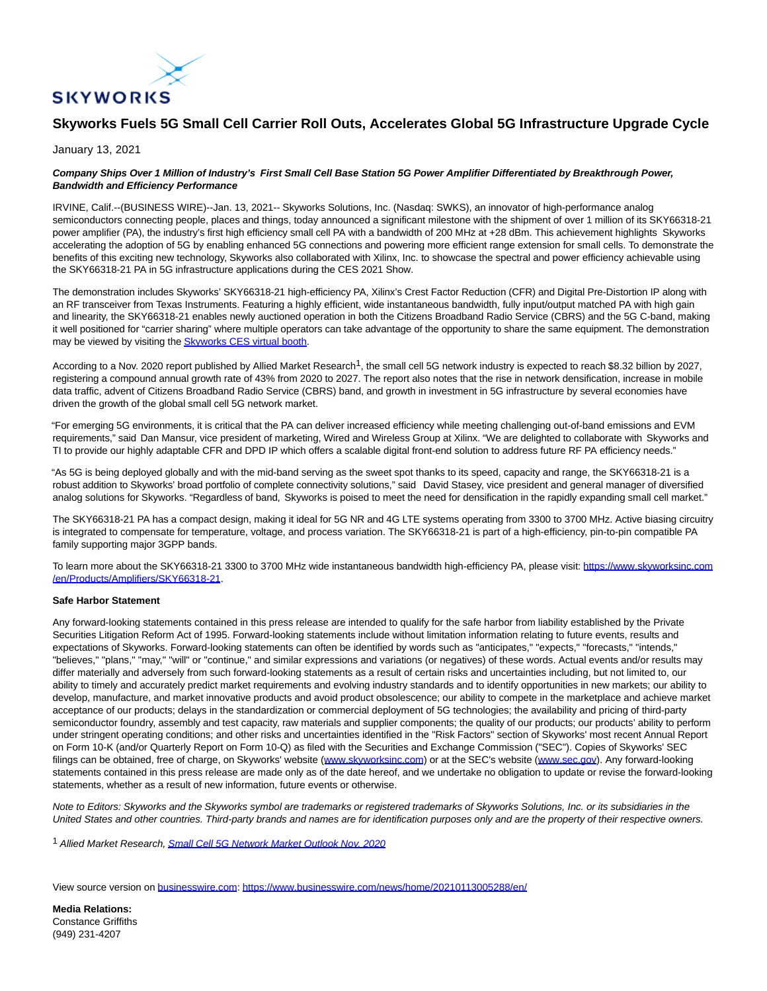

## **Skyworks Fuels 5G Small Cell Carrier Roll Outs, Accelerates Global 5G Infrastructure Upgrade Cycle**

## January 13, 2021

## **Company Ships Over 1 Million of Industry's First Small Cell Base Station 5G Power Amplifier Differentiated by Breakthrough Power, Bandwidth and Efficiency Performance**

IRVINE, Calif.--(BUSINESS WIRE)--Jan. 13, 2021-- Skyworks Solutions, Inc. (Nasdaq: SWKS), an innovator of high-performance analog semiconductors connecting people, places and things, today announced a significant milestone with the shipment of over 1 million of its SKY66318-21 power amplifier (PA), the industry's first high efficiency small cell PA with a bandwidth of 200 MHz at +28 dBm. This achievement highlights Skyworks accelerating the adoption of 5G by enabling enhanced 5G connections and powering more efficient range extension for small cells. To demonstrate the benefits of this exciting new technology, Skyworks also collaborated with Xilinx, Inc. to showcase the spectral and power efficiency achievable using the SKY66318-21 PA in 5G infrastructure applications during the CES 2021 Show.

The demonstration includes Skyworks' SKY66318-21 high-efficiency PA, Xilinx's Crest Factor Reduction (CFR) and Digital Pre-Distortion IP along with an RF transceiver from Texas Instruments. Featuring a highly efficient, wide instantaneous bandwidth, fully input/output matched PA with high gain and linearity, the SKY66318-21 enables newly auctioned operation in both the Citizens Broadband Radio Service (CBRS) and the 5G C-band, making it well positioned for "carrier sharing" where multiple operators can take advantage of the opportunity to share the same equipment. The demonstration may be viewed by visiting the **Skyworks CES virtual booth**.

According to a Nov. 2020 report published by Allied Market Research<sup>1</sup>, the small cell 5G network industry is expected to reach \$8.32 billion by 2027, registering a compound annual growth rate of 43% from 2020 to 2027. The report also notes that the rise in network densification, increase in mobile data traffic, advent of Citizens Broadband Radio Service (CBRS) band, and growth in investment in 5G infrastructure by several economies have driven the growth of the global small cell 5G network market.

"For emerging 5G environments, it is critical that the PA can deliver increased efficiency while meeting challenging out-of-band emissions and EVM requirements," said Dan Mansur, vice president of marketing, Wired and Wireless Group at Xilinx. "We are delighted to collaborate with Skyworks and TI to provide our highly adaptable CFR and DPD IP which offers a scalable digital front-end solution to address future RF PA efficiency needs."

"As 5G is being deployed globally and with the mid-band serving as the sweet spot thanks to its speed, capacity and range, the SKY66318-21 is a robust addition to Skyworks' broad portfolio of complete connectivity solutions," said David Stasey, vice president and general manager of diversified analog solutions for Skyworks. "Regardless of band, Skyworks is poised to meet the need for densification in the rapidly expanding small cell market."

The SKY66318-21 PA has a compact design, making it ideal for 5G NR and 4G LTE systems operating from 3300 to 3700 MHz. Active biasing circuitry is integrated to compensate for temperature, voltage, and process variation. The SKY66318-21 is part of a high-efficiency, pin-to-pin compatible PA family supporting major 3GPP bands.

To learn more about the SKY66318-21 3300 to 3700 MHz wide instantaneous bandwidth high-efficiency PA, please visit: [https://www.skyworksinc.com](https://cts.businesswire.com/ct/CT?id=smartlink&url=https%3A%2F%2Fwww.skyworksinc.com%2Fen%2FProducts%2FAmplifiers%2FSKY66318-21&esheet=52360315&newsitemid=20210113005288&lan=en-US&anchor=https%3A%2F%2Fwww.skyworksinc.com%2Fen%2FProducts%2FAmplifiers%2FSKY66318-21&index=2&md5=501d27864ffd8b65f8e500e60bfaadf5) /en/Products/Amplifiers/SKY66318-21.

## **Safe Harbor Statement**

Any forward-looking statements contained in this press release are intended to qualify for the safe harbor from liability established by the Private Securities Litigation Reform Act of 1995. Forward-looking statements include without limitation information relating to future events, results and expectations of Skyworks. Forward-looking statements can often be identified by words such as "anticipates," "expects," "forecasts," "intends," "believes," "plans," "may," "will" or "continue," and similar expressions and variations (or negatives) of these words. Actual events and/or results may differ materially and adversely from such forward-looking statements as a result of certain risks and uncertainties including, but not limited to, our ability to timely and accurately predict market requirements and evolving industry standards and to identify opportunities in new markets; our ability to develop, manufacture, and market innovative products and avoid product obsolescence; our ability to compete in the marketplace and achieve market acceptance of our products; delays in the standardization or commercial deployment of 5G technologies; the availability and pricing of third-party semiconductor foundry, assembly and test capacity, raw materials and supplier components; the quality of our products; our products' ability to perform under stringent operating conditions; and other risks and uncertainties identified in the "Risk Factors" section of Skyworks' most recent Annual Report on Form 10-K (and/or Quarterly Report on Form 10-Q) as filed with the Securities and Exchange Commission ("SEC"). Copies of Skyworks' SEC filings can be obtained, free of charge, on Skyworks' website [\(www.skyworksinc.com\)](https://cts.businesswire.com/ct/CT?id=smartlink&url=http%3A%2F%2Fwww.skyworksinc.com%2F&esheet=52360315&newsitemid=20210113005288&lan=en-US&anchor=www.skyworksinc.com&index=3&md5=d0958632c14f5b06a081adc433cea53d) or at the SEC's website [\(www.sec.gov\).](https://cts.businesswire.com/ct/CT?id=smartlink&url=http%3A%2F%2Fwww.sec.gov%2F&esheet=52360315&newsitemid=20210113005288&lan=en-US&anchor=www.sec.gov&index=4&md5=be180a3a480e9a17519356a054b174bd) Any forward-looking statements contained in this press release are made only as of the date hereof, and we undertake no obligation to update or revise the forward-looking statements, whether as a result of new information, future events or otherwise.

Note to Editors: Skyworks and the Skyworks symbol are trademarks or registered trademarks of Skyworks Solutions, Inc. or its subsidiaries in the United States and other countries. Third-party brands and names are for identification purposes only and are the property of their respective owners.

<sup>1</sup> Allied Market Research[, Small Cell 5G Network Market Outlook Nov. 2020](https://cts.businesswire.com/ct/CT?id=smartlink&url=https%3A%2F%2Fwww.alliedmarketresearch.com%2Fsmall-cell-5g-network-market&esheet=52360315&newsitemid=20210113005288&lan=en-US&anchor=Small+Cell+5G+Network+Market+Outlook+Nov.+2020&index=5&md5=f35bf8b8f1e498a8908753638a6c9e0d)

View source version on [businesswire.com:](http://businesswire.com/)<https://www.businesswire.com/news/home/20210113005288/en/>

**Media Relations:** Constance Griffiths (949) 231-4207